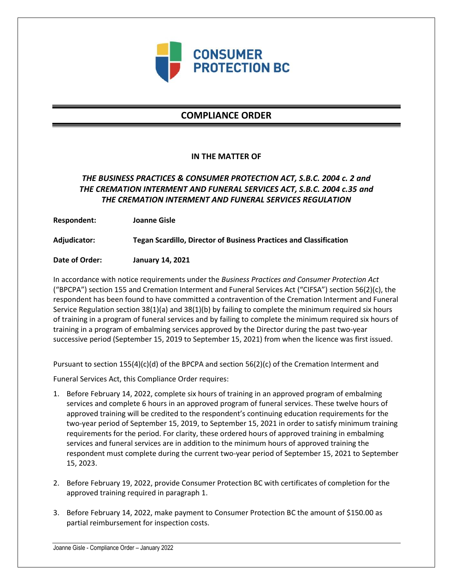

# **COMPLIANCE ORDER**

### **IN THE MATTER OF**

## *THE BUSINESS PRACTICES & CONSUMER PROTECTION ACT, S.B.C. 2004 c. 2 and THE CREMATION INTERMENT AND FUNERAL SERVICES ACT, S.B.C. 2004 c.35 and THE CREMATION INTERMENT AND FUNERAL SERVICES REGULATION*

**Respondent: Joanne Gisle**

**Adjudicator: Tegan Scardillo, Director of Business Practices and Classification**

**Date of Order: January 14, 2021**

In accordance with notice requirements under the *Business Practices and Consumer Protection Act* ("BPCPA") section 155 and Cremation Interment and Funeral Services Act ("CIFSA") section 56(2)(c), the respondent has been found to have committed a contravention of the Cremation Interment and Funeral Service Regulation section 38(1)(a) and 38(1)(b) by failing to complete the minimum required six hours of training in a program of funeral services and by failing to complete the minimum required six hours of training in a program of embalming services approved by the Director during the past two-year successive period (September 15, 2019 to September 15, 2021) from when the licence was first issued.

Pursuant to section 155(4)(c)(d) of the BPCPA and section 56(2)(c) of the Cremation Interment and

Funeral Services Act, this Compliance Order requires:

- 1. Before February 14, 2022, complete six hours of training in an approved program of embalming services and complete 6 hours in an approved program of funeral services. These twelve hours of approved training will be credited to the respondent's continuing education requirements for the two-year period of September 15, 2019, to September 15, 2021 in order to satisfy minimum training requirements for the period. For clarity, these ordered hours of approved training in embalming services and funeral services are in addition to the minimum hours of approved training the respondent must complete during the current two-year period of September 15, 2021 to September 15, 2023.
- 2. Before February 19, 2022, provide Consumer Protection BC with certificates of completion for the approved training required in paragraph 1.
- 3. Before February 14, 2022, make payment to Consumer Protection BC the amount of \$150.00 as partial reimbursement for inspection costs.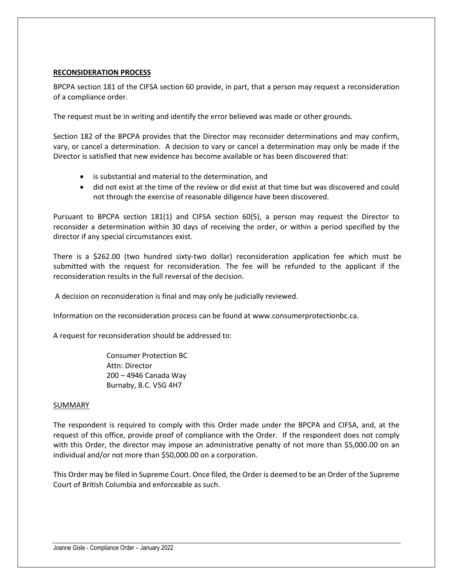### **RECONSIDERATION PROCESS**

BPCPA section 181 of the CIFSA section 60 provide, in part, that a person may request a reconsideration of a compliance order.

The request must be in writing and identify the error believed was made or other grounds.

Section 182 of the BPCPA provides that the Director may reconsider determinations and may confirm, vary, or cancel a determination. A decision to vary or cancel a determination may only be made if the Director is satisfied that new evidence has become available or has been discovered that:

- is substantial and material to the determination, and
- did not exist at the time of the review or did exist at that time but was discovered and could not through the exercise of reasonable diligence have been discovered.

Pursuant to BPCPA section 181(1) and CIFSA section 60(5), a person may request the Director to reconsider a determination within 30 days of receiving the order, or within a period specified by the director if any special circumstances exist.

There is a \$262.00 (two hundred sixty-two dollar) reconsideration application fee which must be submitted with the request for reconsideration. The fee will be refunded to the applicant if the reconsideration results in the full reversal of the decision.

A decision on reconsideration is final and may only be judicially reviewed.

Information on the reconsideration process can be found at www.consumerprotectionbc.ca.

A request for reconsideration should be addressed to:

Consumer Protection BC Attn: Director 200 – 4946 Canada Way Burnaby, B.C. V5G 4H7

#### SUMMARY

The respondent is required to comply with this Order made under the BPCPA and CIFSA, and, at the request of this office, provide proof of compliance with the Order. If the respondent does not comply with this Order, the director may impose an administrative penalty of not more than \$5,000.00 on an individual and/or not more than \$50,000.00 on a corporation.

This Order may be filed in Supreme Court. Once filed, the Order is deemed to be an Order of the Supreme Court of British Columbia and enforceable as such.